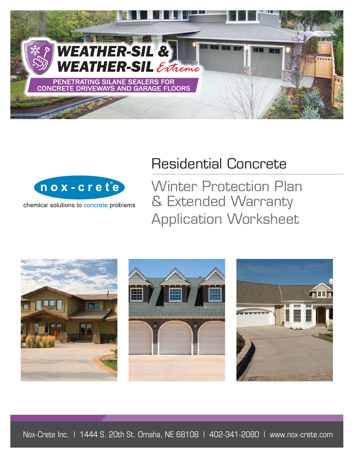

# Residential Concrete



chemical solutions to concrete problems

Winter Protection Plan & Extended Warranty Application Worksheet

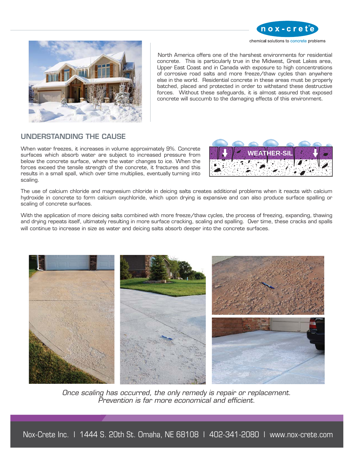



North America offers one of the harshest environments for residential concrete. This is particularly true in the Midwest, Great Lakes area, Upper East Coast and in Canada with exposure to high concentrations of corrosive road salts and more freeze/thaw cycles than anywhere else in the world. Residential concrete in these areas must be properly batched, placed and protected in order to withstand these destructive forces. Without these safeguards, it is almost assured that exposed concrete will succumb to the damaging effects of this environment.

# UNDERSTANDING THE CAUSE

When water freezes, it increases in volume approximately 9%. Concrete surfaces which absorb water are subject to increased pressure from below the concrete surface, where the water changes to ice. When the forces exceed the tensile strength of the concrete, it fractures and this results in a small spall, which over time multiplies, eventually turning into scaling.



The use of calcium chloride and magnesium chloride in deicing salts creates additional problems when it reacts with calcium hydroxide in concrete to form calcium oxychloride, which upon drying is expansive and can also produce surface spalling or scaling of concrete surfaces.

With the application of more deicing salts combined with more freeze/thaw cycles, the process of freezing, expanding, thawing and drying repeats itself, ultimately resulting in more surface cracking, scaling and spalling. Over time, these cracks and spalls will continue to increase in size as water and deicing salts absorb deeper into the concrete surfaces.



*Once scaling has occurred, the only remedy is repair or replacement. Prevention is far more economical and efficient.*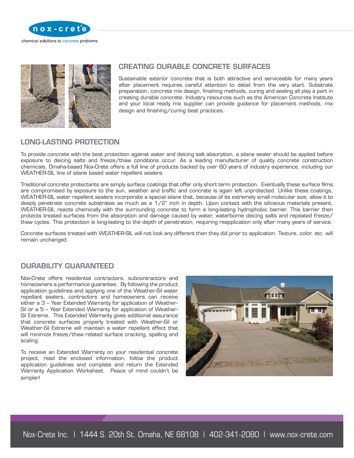



# CREATING DURABLE CONCRETE SURFACES

Sustainable exterior concrete that is both attractive and serviceable for many years after placement requires careful attention to detail from the very start. Substrate preparation, concrete mix design, finishing methods, curing and sealing all play a part in creating durable concrete. Industry resources such as the American Concrete Institute and your local ready mix supplier can provide guidance for placement methods, mix design and finishing/curing best practices.

# LONG-LASTING PROTECTION

To provide concrete with the best protection against water and deicing salt absorption, a silane sealer should be applied before exposure to deicing salts and freeze/thaw conditions occur. As a leading manufacturer of quality concrete construction chemicals, Omaha-based Nox-Crete offers a full line of products backed by over 60 years of industry experience, including our WEATHER-SIL line of silane based water repellent sealers.

Traditional concrete protectants are simply surface coatings that offer only short term protection. Eventually these surface films are compromised by exposure to the sun, weather and traffic and concrete is again left unprotected. Unlike these coatings, WEATHER-SIL water repellent sealers incorporate a special silane that, because of its extremely small molecular size, allow it to deeply penetrate concrete substrates as much as a 1/2" inch in depth. Upon contact with the siliceous materials present, WEATHER-SIL reacts chemically with the surrounding concrete to form a long-lasting hydrophobic barrier. This barrier then protects treated surfaces from the absorption and damage caused by water, waterborne deicing salts and repeated freeze/ thaw cycles. This protection is long-lasting to the depth of penetration, requiring reapplication only after many years of service.

Concrete surfaces treated with WEATHER-SIL will not look any different then they did prior to application. Texture, color, etc. will remain unchanged.

# DURABILITY GUARANTEED

Nox-Crete offers residential contractors, subcontractors and homeowners a performance guarantee. By following the product application guidelines and applying one of the Weather-Sil water repellant sealers, contractors and homeowners can receive either a 3 – Year Extended Warranty for application of Weather-Sil or a 5 – Year Extended Warranty for application of Weather-Sil Extreme. This Extended Warranty gives additional assurance that concrete surfaces properly treated with Weather-Sil or Weather-Sil Extreme will maintain a water repellant effect that will minimize freeze/thaw related surface cracking, spalling and scaling.

To receive an Extended Warranty on your residential concrete project, read the enclosed information, follow the product application guidelines and complete and return the Extended Warranty Application Worksheet. Peace of mind couldn't be simpler!

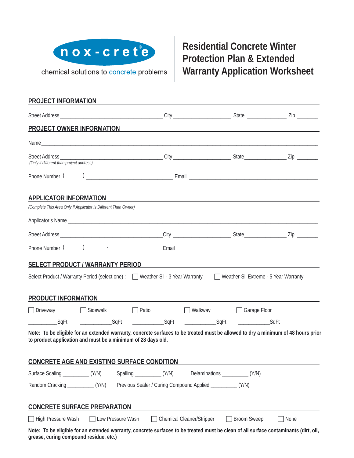

chemical solutions to concrete problems

# **Residential Concrete Winter Protection Plan & Extended Warranty Application Worksheet**

| PROJECT INFORMATION                                                                                                                                                                                                            |                 |                   |                                                                |                                  |               |                                                                                                                                                                                                                               |
|--------------------------------------------------------------------------------------------------------------------------------------------------------------------------------------------------------------------------------|-----------------|-------------------|----------------------------------------------------------------|----------------------------------|---------------|-------------------------------------------------------------------------------------------------------------------------------------------------------------------------------------------------------------------------------|
|                                                                                                                                                                                                                                |                 |                   |                                                                |                                  |               |                                                                                                                                                                                                                               |
| PROJECT OWNER INFORMATION                                                                                                                                                                                                      |                 |                   |                                                                |                                  |               | the control of the control of the control of the control of the control of the control of the control of the control of the control of the control of the control of the control of the control of the control of the control |
|                                                                                                                                                                                                                                |                 |                   |                                                                |                                  |               |                                                                                                                                                                                                                               |
| (Only if different than project address)                                                                                                                                                                                       |                 |                   |                                                                |                                  |               |                                                                                                                                                                                                                               |
| Phone Number (                                                                                                                                                                                                                 |                 |                   |                                                                |                                  |               |                                                                                                                                                                                                                               |
| <b>APPLICATOR INFORMATION</b>                                                                                                                                                                                                  |                 |                   |                                                                |                                  |               |                                                                                                                                                                                                                               |
| (Complete This Area Only If Applicator Is Different Than Owner)                                                                                                                                                                |                 |                   |                                                                |                                  |               |                                                                                                                                                                                                                               |
|                                                                                                                                                                                                                                |                 |                   |                                                                |                                  |               |                                                                                                                                                                                                                               |
|                                                                                                                                                                                                                                |                 |                   |                                                                |                                  |               |                                                                                                                                                                                                                               |
|                                                                                                                                                                                                                                |                 |                   |                                                                |                                  |               |                                                                                                                                                                                                                               |
|                                                                                                                                                                                                                                |                 |                   |                                                                |                                  |               |                                                                                                                                                                                                                               |
| SELECT PRODUCT / WARRANTY PERIOD                                                                                                                                                                                               |                 |                   |                                                                |                                  |               | <u> 1980 - John Stone, amerikansk politiker († 1900)</u>                                                                                                                                                                      |
| Select Product / Warranty Period (select one) : □ Weather-Sil - 3 Year Warranty □ Weather-Sil Extreme - 5 Year Warranty                                                                                                        |                 |                   |                                                                |                                  |               |                                                                                                                                                                                                                               |
| PRODUCT INFORMATION EXAMPLE THE SERVICE OF THE SERVICE OF THE SERVICE OF THE SERVICE OF THE SERVICE OF THE SERVICE OF THE SERVICE OF THE SERVICE OF THE SERVICE OF THE SERVICE OF THE SERVICE OF THE SERVICE OF THE SERVICE OF |                 |                   |                                                                |                                  |               |                                                                                                                                                                                                                               |
| $\Box$ Driveway                                                                                                                                                                                                                | $\Box$ Sidewalk |                   | $\Box$ Patio                                                   | □ Walkway □ Garage Floor         |               |                                                                                                                                                                                                                               |
| <b>SqFt</b>                                                                                                                                                                                                                    | SqFt            |                   | _______________SqFt ________________SqFt _________________SqFt |                                  |               |                                                                                                                                                                                                                               |
| Note: To be eligible for an extended warranty, concrete surfaces to be treated must be allowed to dry a minimum of 48 hours prior<br>to product application and must be a minimum of 28 days old.                              |                 |                   |                                                                |                                  |               |                                                                                                                                                                                                                               |
| <b>CONCRETE AGE AND EXISTING SURFACE CONDITION</b>                                                                                                                                                                             |                 |                   |                                                                |                                  |               |                                                                                                                                                                                                                               |
|                                                                                                                                                                                                                                |                 |                   |                                                                |                                  |               |                                                                                                                                                                                                                               |
|                                                                                                                                                                                                                                |                 |                   | Previous Sealer / Curing Compound Applied _____________ (Y/N)  |                                  |               |                                                                                                                                                                                                                               |
| <b>CONCRETE SURFACE PREPARATION</b>                                                                                                                                                                                            |                 |                   |                                                                |                                  |               |                                                                                                                                                                                                                               |
| □ High Pressure Wash                                                                                                                                                                                                           | $\perp$         | Low Pressure Wash |                                                                | $\Box$ Chemical Cleaner/Stripper | □ Broom Sweep | $\Box$ None                                                                                                                                                                                                                   |
| Note: To be eligible for an extended warranty, concrete surfaces to be treated must be clean of all surface contaminants (dirt, oil,<br>grease, curing compound residue, etc.)                                                 |                 |                   |                                                                |                                  |               |                                                                                                                                                                                                                               |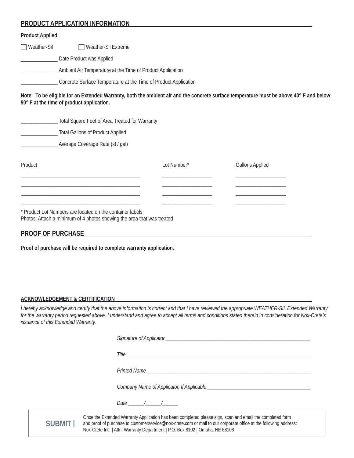# **PRODUCT APPLICATION INFORMATION**

#### **Product Applied**

□ Weather-Sil F Weather-Sil Extreme

Date Product was Applied

\_\_\_\_\_\_\_\_\_\_\_\_\_\_ Ambient Air Temperature at the Time of Product Application

\_ Concrete Surface Temperature at the Time of Product Application

**Note: To be eligible for an Extended Warranty, both the ambient air and the concrete surface temperature must be above 40° F and below 90° F at the time of product application.**

|         | Total Square Feet of Area Treated for Warranty<br><b>Total Gallons of Product Applied</b>                                           |             |                        |
|---------|-------------------------------------------------------------------------------------------------------------------------------------|-------------|------------------------|
|         | Average Coverage Rate (sf / gal)                                                                                                    |             |                        |
| Product |                                                                                                                                     | Lot Number* | <b>Gallons Applied</b> |
|         |                                                                                                                                     |             |                        |
|         |                                                                                                                                     |             |                        |
|         | * Product Lot Numbers are located on the container labels<br>Photos: Attach a minimum of 4 photos showing the area that was treated |             |                        |

# **PROOF OF PURCHASE**

**Proof of purchase will be required to complete warranty application.**

#### **ACKNOWLEDGEMENT & CERTIFICATION**

*I hereby acknowledge and certify that the above information is correct and that I have reviewed the appropriate WEATHER-SIL Extended Warranty for the warranty period requested above. I understand and agree to accept all terms and conditions stated therein in consideration for Nox-Crete's issuance of this Extended Warranty.* 

|        | Signature of Applicator experience of the state of the state of the state of the state of the state of the state of the state of the state of the state of the state of the state of the state of the state of the state of th                                                                               |
|--------|--------------------------------------------------------------------------------------------------------------------------------------------------------------------------------------------------------------------------------------------------------------------------------------------------------------|
|        |                                                                                                                                                                                                                                                                                                              |
|        |                                                                                                                                                                                                                                                                                                              |
|        |                                                                                                                                                                                                                                                                                                              |
|        | Date / /                                                                                                                                                                                                                                                                                                     |
| SUBMIT | Once the Extended Warranty Application has been completed please sign, scan and email the completed form<br>and proof of purchase to customerservice@nox-crete.com or mail to our corporate office at the following address:<br>Nox-Crete Inc.   Attn: Warranty Department   P.O. Box 8102   Omaha, NE 68108 |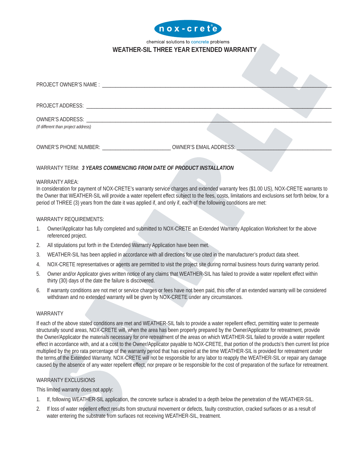

## chemical solutions to concrete problems **WEATHER-SIL THREE YEAR EXTENDED WARRANTY**

| PROJECT OWNER'S NAME : LATERATION CONTINUES.                                                                                                                                                                                   |  |
|--------------------------------------------------------------------------------------------------------------------------------------------------------------------------------------------------------------------------------|--|
|                                                                                                                                                                                                                                |  |
| PROJECT ADDRESS: North and the contract of the contract of the contract of the contract of the contract of the contract of the contract of the contract of the contract of the contract of the contract of the contract of the |  |
| (If different than project address)                                                                                                                                                                                            |  |

#### WARRANTY TERM: *3 YEARS COMMENCING FROM DATE OF PRODUCT INSTALLATION*

OWNER'S PHONE NUMBER: \_\_\_\_\_\_\_\_\_\_\_\_\_\_\_\_\_\_\_\_\_\_\_\_\_\_ OWNER'S EMAIL ADDRESS: \_\_\_\_\_\_\_\_\_\_\_\_\_\_\_\_\_\_\_\_\_\_\_\_\_\_\_\_\_\_\_\_\_\_\_\_

#### WARRANTY AREA:

In consideration for payment of NOX-CRETE's warranty service charges and extended warranty fees (\$1.00 US), NOX-CRETE warrants to the Owner that WEATHER-SIL will provide a water repellent effect subject to the fees, costs, limitations and exclusions set forth below, for a period of THREE (3) years from the date it was applied if, and only if, each of the following conditions are met:

#### WARRANTY REQUIREMENTS:

- 1. Owner/Applicator has fully completed and submitted to NOX-CRETE an Extended Warranty Application Worksheet for the above referenced project.
- 2. All stipulations put forth in the Extended Warranty Application have been met.
- 3. WEATHER-SIL has been applied in accordance with all directions for use cited in the manufacturer's product data sheet.
- 4. NOX-CRETE representatives or agents are permitted to visit the project site during normal business hours during warranty period.
- 5. Owner and/or Applicator gives written notice of any claims that WEATHER-SIL has failed to provide a water repellent effect within thirty (30) days of the date the failure is discovered.
- 6. If warranty conditions are not met or service charges or fees have not been paid, this offer of an extended warranty will be considered withdrawn and no extended warranty will be given by NOX-CRETE under any circumstances.

#### WARRANTY

If each of the above stated conditions are met and WEATHER-SIL fails to provide a water repellent effect, permitting water to permeate structurally sound areas, NOX-CRETE will, when the area has been properly prepared by the Owner/Applicator for retreatment, provide the Owner/Applicator the materials necessary for one retreatment of the areas on which WEATHER-SIL failed to provide a water repellent effect in accordance with, and at a cost to the Owner/Applicator payable to NOX-CRETE, that portion of the products's then current list price multiplied by the pro rata percentage of the warranty period that has expired at the time WEATHER-SIL is provided for retreatment under the terms of the Extended Warranty. NOX-CRETE will not be responsible for any labor to reapply the WEATHER-SIL or repair any damage caused by the absence of any water repellent effect, nor prepare or be responsible for the cost of preparation of the surface for retreatment.

#### WARRANTY EXCLUSIONS

This limited warranty does not apply:

- 1. If, following WEATHER-SIL application, the concrete surface is abraded to a depth below the penetration of the WEATHER-SIL.
- 2. If loss of water repellent effect results from structural movement or defects, faulty construction, cracked surfaces or as a result of water entering the substrate from surfaces not receiving WEATHER-SIL, treatment.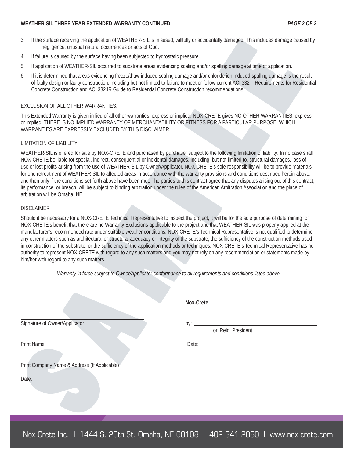#### **WEATHER-SIL THREE YEAR EXTENDED WARRANTY CONTINUED** *PAGE 2 OF 2*

- 3. If the surface receiving the application of WEATHER-SIL is misused, willfully or accidentally damaged. This includes damage caused by negligence, unusual natural occurrences or acts of God.
- 4. If failure is caused by the surface having been subjected to hydrostatic pressure.
- 5. If application of WEATHER-SIL occurred to substrate areas evidencing scaling and/or spalling damage at time of application.
- 6. If it is determined that areas evidencing freeze/thaw induced scaling damage and/or chloride ion induced spalling damage is the result of faulty design or faulty construction, including but not limited to failure to meet or follow current ACI 332 – Requirements for Residential Concrete Construction and ACI 332.IR Guide to Residential Concrete Construction recommendations.

#### EXCLUSION OF ALL OTHER WARRANTIES:

This Extended Warranty is given in lieu of all other warranties, express or implied. NOX-CRETE gives NO OTHER WARRANTIES, express or implied. THERE IS NO IMPLIED WARRANTY OF MERCHANTABILITY OR FITNESS FOR A PARTICULAR PURPOSE, WHICH WARRANTIES ARE EXPRESSLY EXCLUDED BY THIS DISCLAIMER.

#### LIMITATION OF LIABILITY:

WEATHER-SIL is offered for sale by NOX-CRETE and purchased by purchaser subject to the following limitation of liability: In no case shall NOX-CRETE be liable for special, indirect, consequential or incidental damages, including, but not limited to, structural damages, loss of use or lost profits arising from the use of WEATHER-SIL by Owner/Applicator. NOX-CRETE's sole responsibility will be to provide materials for one retreatment of WEATHER-SIL to affected areas in accordance with the warranty provisions and conditions described herein above, and then only if the conditions set forth above have been met. The parties to this contract agree that any disputes arising out of this contract, its performance, or breach, will be subject to binding arbitration under the rules of the American Arbitration Association and the place of arbitration will be Omaha, NE.

#### DISCLAIMER

Should it be necessary for a NOX-CRETE Technical Representative to inspect the project, it will be for the sole purpose of determining for NOX-CRETE's benefit that there are no Warranty Exclusions applicable to the project and that WEATHER-SIL was properly applied at the manufacturer's recommended rate under suitable weather conditions. NOX-CRETE's Technical Representative is not qualified to determine any other matters such as architectural or structural adequacy or integrity of the substrate, the sufficiency of the construction methods used in construction of the substrate, or the sufficiency of the application methods or techniques. NOX-CRETE's Technical Representative has no authority to represent NOX-CRETE with regard to any such matters and you may not rely on any recommendation or statements made by him/her with regard to any such matters.

*Warranty in force subject to Owner/Applicator conformance to all requirements and conditions listed above.* 

|                                              | Nox-Crete                                            |
|----------------------------------------------|------------------------------------------------------|
| Signature of Owner/Applicator                | by: $\overline{\phantom{0}}$<br>Lori Reid, President |
| <b>Print Name</b>                            |                                                      |
| Print Company Name & Address (If Applicable) |                                                      |
| Date:                                        |                                                      |
|                                              |                                                      |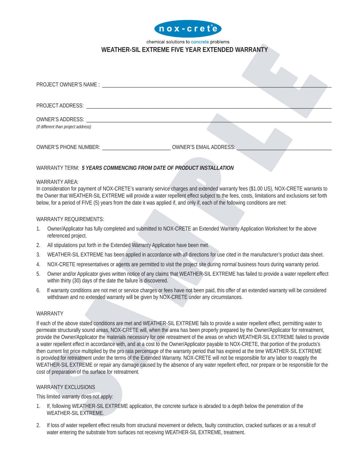

#### chemical solutions to concrete problems **WEATHER-SIL EXTREME FIVE YEAR EXTENDED WARRANTY**

| PROJECT ADDRESS: North and the contract of the contract of the contract of the contract of the contract of the contract of the contract of the contract of the contract of the contract of the contract of the contract of the |                               |  |  |
|--------------------------------------------------------------------------------------------------------------------------------------------------------------------------------------------------------------------------------|-------------------------------|--|--|
| OWNER'S ADDRESS: New York CONNERT STATE AND THE CONNERT STATE OF THE CONNE                                                                                                                                                     |                               |  |  |
| (If different than project address)                                                                                                                                                                                            |                               |  |  |
| <b>OWNER'S PHONE NUMBER:</b>                                                                                                                                                                                                   | <b>OWNER'S EMAIL ADDRESS:</b> |  |  |

## WARRANTY TERM: *5 YEARS COMMENCING FROM DATE OF PRODUCT INSTALLATION*

#### WARRANTY AREA:

In consideration for payment of NOX-CRETE's warranty service charges and extended warranty fees (\$1.00 US), NOX-CRETE warrants to the Owner that WEATHER-SIL EXTREME will provide a water repellent effect subject to the fees, costs, limitations and exclusions set forth below, for a period of FIVE (5) years from the date it was applied if, and only if, each of the following conditions are met:

#### WARRANTY REQUIREMENTS:

- 1. Owner/Applicator has fully completed and submitted to NOX-CRETE an Extended Warranty Application Worksheet for the above referenced project.
- 2. All stipulations put forth in the Extended Warranty Application have been met.
- 3. WEATHER-SIL EXTREME has been applied in accordance with all directions for use cited in the manufacturer's product data sheet.
- 4. NOX-CRETE representatives or agents are permitted to visit the project site during normal business hours during warranty period.
- 5. Owner and/or Applicator gives written notice of any claims that WEATHER-SIL EXTREME has failed to provide a water repellent effect within thirty (30) days of the date the failure is discovered.
- 6. If warranty conditions are not met or service charges or fees have not been paid, this offer of an extended warranty will be considered withdrawn and no extended warranty will be given by NOX-CRETE under any circumstances.

#### WARRANTY

If each of the above stated conditions are met and WEATHER-SIL EXTREME fails to provide a water repellent effect, permitting water to permeate structurally sound areas, NOX-CRETE will, when the area has been properly prepared by the Owner/Applicator for retreatment, provide the Owner/Applicator the materials necessary for one retreatment of the areas on which WEATHER-SIL EXTREME failed to provide a water repellent effect in accordance with, and at a cost to the Owner/Applicator payable to NOX-CRETE, that portion of the products's then current list price multiplied by the pro rata percentage of the warranty period that has expired at the time WEATHER-SIL EXTREME is provided for retreatment under the terms of the Extended Warranty. NOX-CRETE will not be responsible for any labor to reapply the WEATHER-SIL EXTREME or repair any damage caused by the absence of any water repellent effect, nor prepare or be responsible for the cost of preparation of the surface for retreatment.

#### WARRANTY EXCLUSIONS

This limited warranty does not apply:

- 1. If, following WEATHER-SIL EXTREME application, the concrete surface is abraded to a depth below the penetration of the WEATHER-SIL EXTREME.
- 2. If loss of water repellent effect results from structural movement or defects, faulty construction, cracked surfaces or as a result of water entering the substrate from surfaces not receiving WEATHER-SIL EXTREME, treatment.